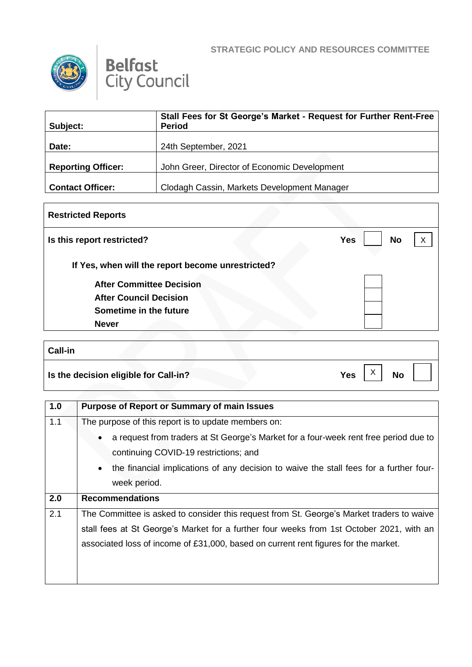



| Subject:                  | Stall Fees for St George's Market - Request for Further Rent-Free<br><b>Period</b> |
|---------------------------|------------------------------------------------------------------------------------|
| Date:                     | 24th September, 2021                                                               |
| <b>Reporting Officer:</b> | John Greer, Director of Economic Development                                       |
| <b>Contact Officer:</b>   | Clodagh Cassin, Markets Development Manager                                        |

## **Restricted Reports Is this report restricted? No If Yes, when will the report become unrestricted? After Committee Decision After Council Decision Sometime in the future Never** X

| <b>Call-in</b>                        |                  |
|---------------------------------------|------------------|
| Is the decision eligible for Call-in? | Yes<br><b>No</b> |

| 1.0 | <b>Purpose of Report or Summary of main Issues</b>                                                  |  |
|-----|-----------------------------------------------------------------------------------------------------|--|
| 1.1 | The purpose of this report is to update members on:                                                 |  |
|     | a request from traders at St George's Market for a four-week rent free period due to<br>$\bullet$   |  |
|     | continuing COVID-19 restrictions; and                                                               |  |
|     | the financial implications of any decision to waive the stall fees for a further four-<br>$\bullet$ |  |
|     | week period.                                                                                        |  |
| 2.0 | <b>Recommendations</b>                                                                              |  |
| 2.1 | The Committee is asked to consider this request from St. George's Market traders to waive           |  |
|     | stall fees at St George's Market for a further four weeks from 1st October 2021, with an            |  |
|     | associated loss of income of £31,000, based on current rent figures for the market.                 |  |
|     |                                                                                                     |  |
|     |                                                                                                     |  |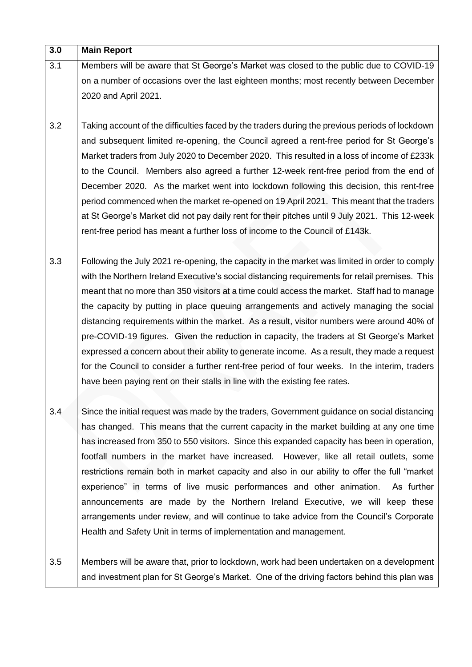| 3.0 | <b>Main Report</b>                                                                              |
|-----|-------------------------------------------------------------------------------------------------|
| 3.1 | Members will be aware that St George's Market was closed to the public due to COVID-19          |
|     | on a number of occasions over the last eighteen months; most recently between December          |
|     | 2020 and April 2021.                                                                            |
|     |                                                                                                 |
| 3.2 | Taking account of the difficulties faced by the traders during the previous periods of lockdown |
|     | and subsequent limited re-opening, the Council agreed a rent-free period for St George's        |
|     | Market traders from July 2020 to December 2020. This resulted in a loss of income of £233k      |
|     | to the Council. Members also agreed a further 12-week rent-free period from the end of          |
|     | December 2020. As the market went into lockdown following this decision, this rent-free         |
|     | period commenced when the market re-opened on 19 April 2021. This meant that the traders        |
|     | at St George's Market did not pay daily rent for their pitches until 9 July 2021. This 12-week  |
|     | rent-free period has meant a further loss of income to the Council of £143k.                    |
|     |                                                                                                 |
| 3.3 | Following the July 2021 re-opening, the capacity in the market was limited in order to comply   |
|     | with the Northern Ireland Executive's social distancing requirements for retail premises. This  |
|     | meant that no more than 350 visitors at a time could access the market. Staff had to manage     |
|     | the capacity by putting in place queuing arrangements and actively managing the social          |
|     | distancing requirements within the market. As a result, visitor numbers were around 40% of      |
|     | pre-COVID-19 figures. Given the reduction in capacity, the traders at St George's Market        |
|     | expressed a concern about their ability to generate income. As a result, they made a request    |
|     | for the Council to consider a further rent-free period of four weeks. In the interim, traders   |
|     | have been paying rent on their stalls in line with the existing fee rates.                      |
|     |                                                                                                 |
| 3.4 | Since the initial request was made by the traders, Government guidance on social distancing     |
|     | has changed. This means that the current capacity in the market building at any one time        |
|     | has increased from 350 to 550 visitors. Since this expanded capacity has been in operation,     |
|     | footfall numbers in the market have increased. However, like all retail outlets, some           |
|     | restrictions remain both in market capacity and also in our ability to offer the full "market   |
|     | experience" in terms of live music performances and other animation.<br>As further              |
|     | announcements are made by the Northern Ireland Executive, we will keep these                    |
|     | arrangements under review, and will continue to take advice from the Council's Corporate        |
|     | Health and Safety Unit in terms of implementation and management.                               |
|     |                                                                                                 |
| 3.5 | Members will be aware that, prior to lockdown, work had been undertaken on a development        |
|     | and investment plan for St George's Market. One of the driving factors behind this plan was     |
|     |                                                                                                 |